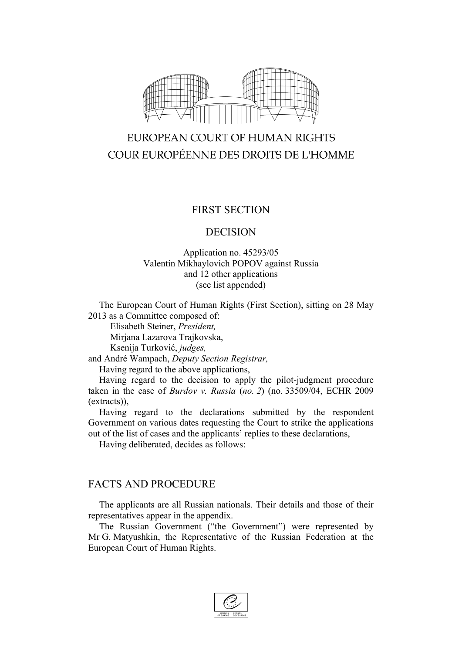

# EUROPEAN COURT OF HUMAN RIGHTS COUR EUROPÉENNE DES DROITS DE L'HOMME

## FIRST SECTION

## DECISION

### Application no. 45293/05 Valentin Mikhaylovich POPOV against Russia and 12 other applications (see list appended)

The European Court of Human Rights (First Section), sitting on 28 May 2013 as a Committee composed of:

Elisabeth Steiner, *President,* Mirjana Lazarova Trajkovska,

Ksenija Turković, *judges,*

and André Wampach, *Deputy Section Registrar,*

Having regard to the above applications,

Having regard to the decision to apply the pilot-judgment procedure taken in the case of *Burdov v. Russia* (*no. 2*) (no. 33509/04, ECHR 2009 (extracts)),

Having regard to the declarations submitted by the respondent Government on various dates requesting the Court to strike the applications out of the list of cases and the applicants' replies to these declarations,

Having deliberated, decides as follows:

## FACTS AND PROCEDURE

The applicants are all Russian nationals. Their details and those of their representatives appear in the appendix.

The Russian Government ("the Government") were represented by Mr G. Matyushkin, the Representative of the Russian Federation at the European Court of Human Rights.

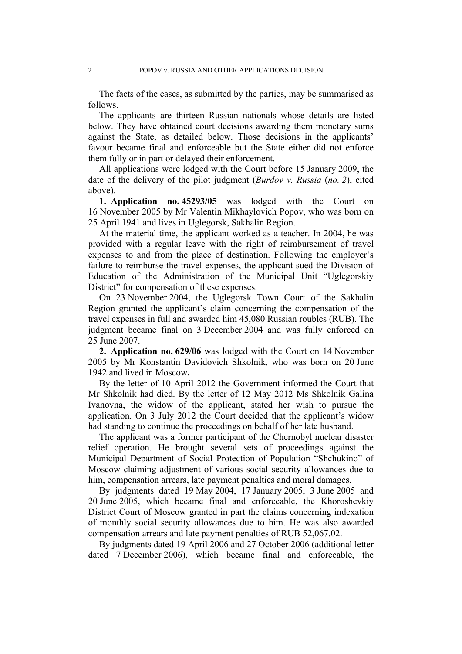The facts of the cases, as submitted by the parties, may be summarised as follows.

The applicants are thirteen Russian nationals whose details are listed below. They have obtained court decisions awarding them monetary sums against the State, as detailed below. Those decisions in the applicants' favour became final and enforceable but the State either did not enforce them fully or in part or delayed their enforcement.

All applications were lodged with the Court before 15 January 2009, the date of the delivery of the pilot judgment (*Burdov v. Russia* (*no. 2*), cited above).

**1. Application no. 45293/05** was lodged with the Court on 16 November 2005 by Mr Valentin Mikhaylovich Popov, who was born on 25 April 1941 and lives in Uglegorsk, Sakhalin Region.

At the material time, the applicant worked as a teacher. In 2004, he was provided with a regular leave with the right of reimbursement of travel expenses to and from the place of destination. Following the employer's failure to reimburse the travel expenses, the applicant sued the Division of Education of the Administration of the Municipal Unit "Uglegorskiy District" for compensation of these expenses.

On 23 November 2004, the Uglegorsk Town Court of the Sakhalin Region granted the applicant's claim concerning the compensation of the travel expenses in full and awarded him 45,080 Russian roubles (RUB). The judgment became final on 3 December 2004 and was fully enforced on 25 June 2007.

**2. Application no. 629/06** was lodged with the Court on 14 November 2005 by Mr Konstantin Davidovich Shkolnik, who was born on 20 June 1942 and lived in Moscow**.**

By the letter of 10 April 2012 the Government informed the Court that Mr Shkolnik had died. By the letter of 12 May 2012 Ms Shkolnik Galina Ivanovna, the widow of the applicant, stated her wish to pursue the application. On 3 July 2012 the Court decided that the applicant's widow had standing to continue the proceedings on behalf of her late husband.

The applicant was a former participant of the Chernobyl nuclear disaster relief operation. He brought several sets of proceedings against the Municipal Department of Social Protection of Population "Shchukino" of Moscow claiming adjustment of various social security allowances due to him, compensation arrears, late payment penalties and moral damages.

By judgments dated 19 May 2004, 17 January 2005, 3 June 2005 and 20 June 2005, which became final and enforceable, the Khoroshevkiy District Court of Moscow granted in part the claims concerning indexation of monthly social security allowances due to him. He was also awarded compensation arrears and late payment penalties of RUB 52,067.02.

By judgments dated 19 April 2006 and 27 October 2006 (additional letter dated 7 December 2006), which became final and enforceable, the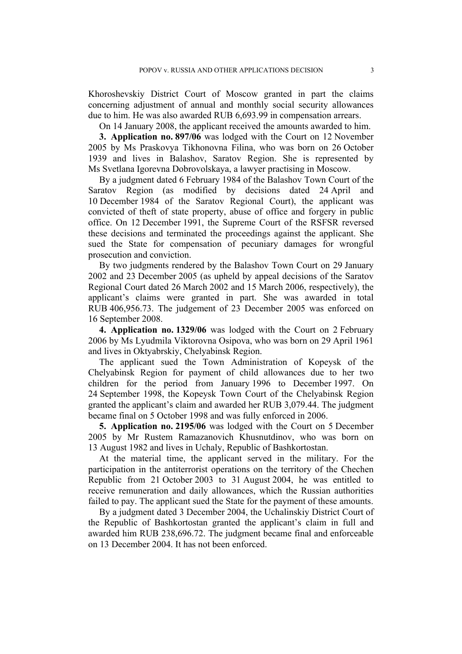Khoroshevskiy District Court of Moscow granted in part the claims concerning adjustment of annual and monthly social security allowances due to him. He was also awarded RUB 6,693.99 in compensation arrears.

On 14 January 2008, the applicant received the amounts awarded to him.

**3. Application no. 897/06** was lodged with the Court on 12 November 2005 by Ms Praskovya Tikhonovna Filina, who was born on 26 October 1939 and lives in Balashov, Saratov Region. She is represented by Ms Svetlana Igorevna Dobrovolskaya, a lawyer practising in Moscow.

By a judgment dated 6 February 1984 of the Balashov Town Court of the Saratov Region (as modified by decisions dated 24 April and 10 December 1984 of the Saratov Regional Court), the applicant was convicted of theft of state property, abuse of office and forgery in public office. On 12 December 1991, the Supreme Court of the RSFSR reversed these decisions and terminated the proceedings against the applicant. She sued the State for compensation of pecuniary damages for wrongful prosecution and conviction.

By two judgments rendered by the Balashov Town Court on 29 January 2002 and 23 December 2005 (as upheld by appeal decisions of the Saratov Regional Court dated 26 March 2002 and 15 March 2006, respectively), the applicant's claims were granted in part. She was awarded in total RUB 406,956.73. The judgement of 23 December 2005 was enforced on 16 September 2008.

**4. Application no. 1329/06** was lodged with the Court on 2 February 2006 by Ms Lyudmila Viktorovna Osipova, who was born on 29 April 1961 and lives in Oktyabrskiy, Chelyabinsk Region.

The applicant sued the Town Administration of Kopeysk of the Chelyabinsk Region for payment of child allowances due to her two children for the period from January 1996 to December 1997. On 24 September 1998, the Kopeysk Town Court of the Chelyabinsk Region granted the applicant's claim and awarded her RUB 3,079.44. The judgment became final on 5 October 1998 and was fully enforced in 2006.

**5. Application no. 2195/06** was lodged with the Court on 5 December 2005 by Mr Rustem Ramazanovich Khusnutdinov, who was born on 13 August 1982 and lives in Uchaly, Republic of Bashkortostan.

At the material time, the applicant served in the military. For the participation in the antiterrorist operations on the territory of the Chechen Republic from 21 October 2003 to 31 August 2004, he was entitled to receive remuneration and daily allowances, which the Russian authorities failed to pay. The applicant sued the State for the payment of these amounts.

By a judgment dated 3 December 2004, the Uchalinskiy District Court of the Republic of Bashkortostan granted the applicant's claim in full and awarded him RUB 238,696.72. The judgment became final and enforceable on 13 December 2004. It has not been enforced.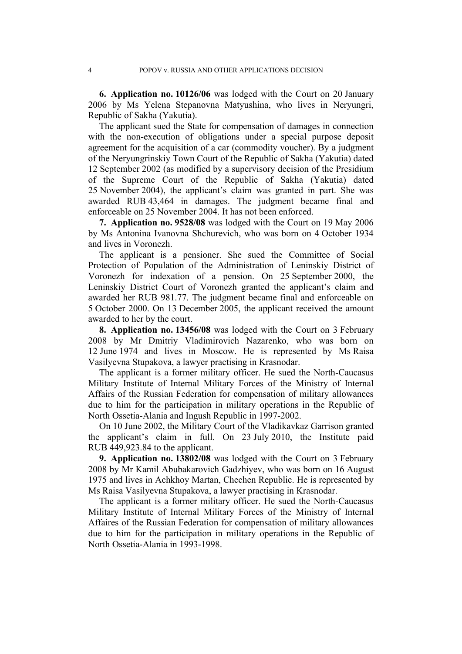**6. Application no. 10126/06** was lodged with the Court on 20 January 2006 by Ms Yelena Stepanovna Matyushina, who lives in Neryungri, Republic of Sakha (Yakutia).

The applicant sued the State for compensation of damages in connection with the non-execution of obligations under a special purpose deposit agreement for the acquisition of a car (commodity voucher). By a judgment of the Neryungrinskiy Town Court of the Republic of Sakha (Yakutia) dated 12 September 2002 (as modified by a supervisory decision of the Presidium of the Supreme Court of the Republic of Sakha (Yakutia) dated 25 November 2004), the applicant's claim was granted in part. She was awarded RUB 43,464 in damages. The judgment became final and enforceable on 25 November 2004. It has not been enforced.

**7. Application no. 9528/08** was lodged with the Court on 19 May 2006 by Ms Antonina Ivanovna Shchurevich, who was born on 4 October 1934 and lives in Voronezh.

The applicant is a pensioner. She sued the Committee of Social Protection of Population of the Administration of Leninskiy District of Voronezh for indexation of a pension. On 25 September 2000, the Leninskiy District Court of Voronezh granted the applicant's claim and awarded her RUB 981.77. The judgment became final and enforceable on 5 October 2000. On 13 December 2005, the applicant received the amount awarded to her by the court.

**8. Application no. 13456/08** was lodged with the Court on 3 February 2008 by Mr Dmitriy Vladimirovich Nazarenko, who was born on 12 June 1974 and lives in Moscow. He is represented by Ms Raisa Vasilyevna Stupakova, a lawyer practising in Krasnodar.

The applicant is a former military officer. He sued the North-Caucasus Military Institute of Internal Military Forces of the Ministry of Internal Affairs of the Russian Federation for compensation of military allowances due to him for the participation in military operations in the Republic of North Ossetia-Alania and Ingush Republic in 1997-2002.

On 10 June 2002, the Military Court of the Vladikavkaz Garrison granted the applicant's claim in full. On 23 July 2010, the Institute paid RUB 449,923.84 to the applicant.

**9. Application no. 13802/08** was lodged with the Court on 3 February 2008 by Mr Kamil Abubakarovich Gadzhiyev, who was born on 16 August 1975 and lives in Achkhoy Martan, Chechen Republic. He is represented by Ms Raisa Vasilyevna Stupakova, a lawyer practising in Krasnodar.

The applicant is a former military officer. He sued the North-Caucasus Military Institute of Internal Military Forces of the Ministry of Internal Affaires of the Russian Federation for compensation of military allowances due to him for the participation in military operations in the Republic of North Ossetia-Alania in 1993-1998.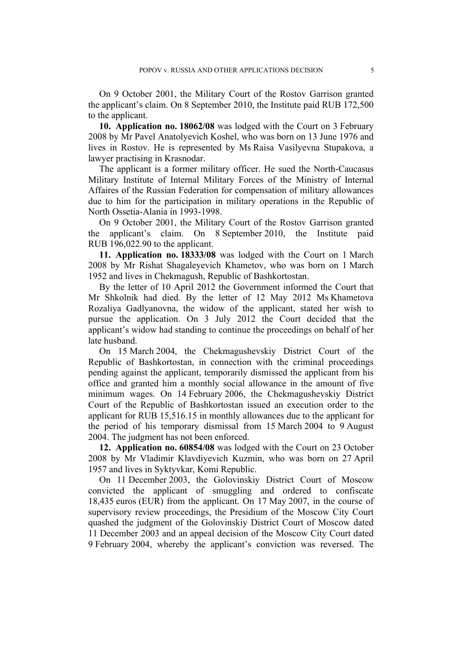On 9 October 2001, the Military Court of the Rostov Garrison granted the applicant's claim. On 8 September 2010, the Institute paid RUB 172,500 to the applicant.

**10. Application no. 18062/08** was lodged with the Court on 3 February 2008 by Mr Pavel Anatolyevich Koshel, who was born on 13 June 1976 and lives in Rostov. He is represented by Ms Raisa Vasilyevna Stupakova, a lawyer practising in Krasnodar.

The applicant is a former military officer. He sued the North-Caucasus Military Institute of Internal Military Forces of the Ministry of Internal Affaires of the Russian Federation for compensation of military allowances due to him for the participation in military operations in the Republic of North Ossetia-Alania in 1993-1998.

On 9 October 2001, the Military Court of the Rostov Garrison granted the applicant's claim. On 8 September 2010, the Institute paid RUB 196,022.90 to the applicant.

**11. Application no. 18333/08** was lodged with the Court on 1 March 2008 by Mr Rishat Shagaleyevich Khametov, who was born on 1 March 1952 and lives in Chekmagush, Republic of Bashkortostan.

By the letter of 10 April 2012 the Government informed the Court that Mr Shkolnik had died. By the letter of 12 May 2012 Ms Khametova Rozaliya Gadlyanovna, the widow of the applicant, stated her wish to pursue the application. On 3 July 2012 the Court decided that the applicant's widow had standing to continue the proceedings on behalf of her late husband.

On 15 March 2004, the Chekmagushevskiy District Court of the Republic of Bashkortostan, in connection with the criminal proceedings pending against the applicant, temporarily dismissed the applicant from his office and granted him a monthly social allowance in the amount of five minimum wages. On 14 February 2006, the Chekmagushevskiy District Court of the Republic of Bashkortostan issued an execution order to the applicant for RUB 15,516.15 in monthly allowances due to the applicant for the period of his temporary dismissal from 15 March 2004 to 9 August 2004. The judgment has not been enforced.

**12. Application no. 60854/08** was lodged with the Court on 23 October 2008 by Mr Vladimir Klavdiyevich Kuzmin, who was born on 27 April 1957 and lives in Syktyvkar, Komi Republic.

On 11 December 2003, the Golovinskiy District Court of Moscow convicted the applicant of smuggling and ordered to confiscate 18,435 euros (EUR) from the applicant. On 17 May 2007, in the course of supervisory review proceedings, the Presidium of the Moscow City Court quashed the judgment of the Golovinskiy District Court of Moscow dated 11 December 2003 and an appeal decision of the Moscow City Court dated 9 February 2004, whereby the applicant's conviction was reversed. The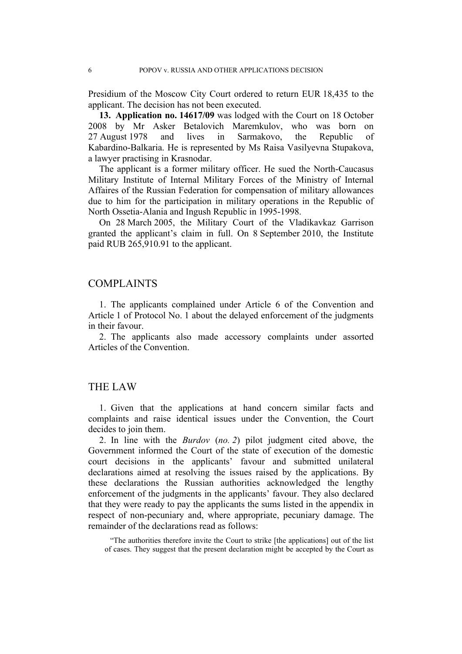Presidium of the Moscow City Court ordered to return EUR 18,435 to the applicant. The decision has not been executed.

**13. Application no. 14617/09** was lodged with the Court on 18 October 2008 by Mr Asker Betalovich Maremkulov, who was born on 27 August 1978 and lives in Sarmakovo, the Republic of Kabardino-Balkaria. He is represented by Ms Raisa Vasilyevna Stupakova, a lawyer practising in Krasnodar.

The applicant is a former military officer. He sued the North-Caucasus Military Institute of Internal Military Forces of the Ministry of Internal Affaires of the Russian Federation for compensation of military allowances due to him for the participation in military operations in the Republic of North Ossetia-Alania and Ingush Republic in 1995-1998.

On 28 March 2005, the Military Court of the Vladikavkaz Garrison granted the applicant's claim in full. On 8 September 2010, the Institute paid RUB 265,910.91 to the applicant.

#### COMPLAINTS

1. The applicants complained under Article 6 of the Convention and Article 1 of Protocol No. 1 about the delayed enforcement of the judgments in their favour.

2. The applicants also made accessory complaints under assorted Articles of the Convention.

## THE LAW

1. Given that the applications at hand concern similar facts and complaints and raise identical issues under the Convention, the Court decides to join them.

2. In line with the *Burdov* (*no. 2*) pilot judgment cited above, the Government informed the Court of the state of execution of the domestic court decisions in the applicants' favour and submitted unilateral declarations aimed at resolving the issues raised by the applications. By these declarations the Russian authorities acknowledged the lengthy enforcement of the judgments in the applicants' favour. They also declared that they were ready to pay the applicants the sums listed in the appendix in respect of non-pecuniary and, where appropriate, pecuniary damage. The remainder of the declarations read as follows:

"The authorities therefore invite the Court to strike [the applications] out of the list of cases. They suggest that the present declaration might be accepted by the Court as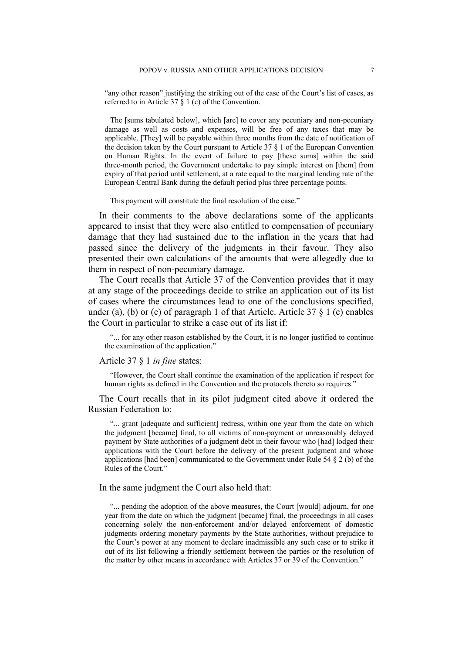"any other reason" justifying the striking out of the case of the Court's list of cases, as referred to in Article 37 § 1 (c) of the Convention.

The [sums tabulated below], which [are] to cover any pecuniary and non-pecuniary damage as well as costs and expenses, will be free of any taxes that may be applicable. [They] will be payable within three months from the date of notification of the decision taken by the Court pursuant to Article 37 § 1 of the European Convention on Human Rights. In the event of failure to pay [these sums] within the said three-month period, the Government undertake to pay simple interest on [them] from expiry of that period until settlement, at a rate equal to the marginal lending rate of the European Central Bank during the default period plus three percentage points.

This payment will constitute the final resolution of the case."

In their comments to the above declarations some of the applicants appeared to insist that they were also entitled to compensation of pecuniary damage that they had sustained due to the inflation in the years that had passed since the delivery of the judgments in their favour. They also presented their own calculations of the amounts that were allegedly due to them in respect of non-pecuniary damage.

The Court recalls that Article 37 of the Convention provides that it may at any stage of the proceedings decide to strike an application out of its list of cases where the circumstances lead to one of the conclusions specified, under (a), (b) or (c) of paragraph 1 of that Article. Article  $37 \& 1$  (c) enables the Court in particular to strike a case out of its list if:

"... for any other reason established by the Court, it is no longer justified to continue the examination of the application."

#### Article 37 § 1 *in fine* states:

"However, the Court shall continue the examination of the application if respect for human rights as defined in the Convention and the protocols thereto so requires."

The Court recalls that in its pilot judgment cited above it ordered the Russian Federation to:

"... grant [adequate and sufficient] redress, within one year from the date on which the judgment [became] final, to all victims of non-payment or unreasonably delayed payment by State authorities of a judgment debt in their favour who [had] lodged their applications with the Court before the delivery of the present judgment and whose applications [had been] communicated to the Government under Rule 54 § 2 (b) of the Rules of the Court."

#### In the same judgment the Court also held that:

"... pending the adoption of the above measures, the Court [would] adjourn, for one year from the date on which the judgment [became] final, the proceedings in all cases concerning solely the non-enforcement and/or delayed enforcement of domestic judgments ordering monetary payments by the State authorities, without prejudice to the Court's power at any moment to declare inadmissible any such case or to strike it out of its list following a friendly settlement between the parties or the resolution of the matter by other means in accordance with Articles 37 or 39 of the Convention."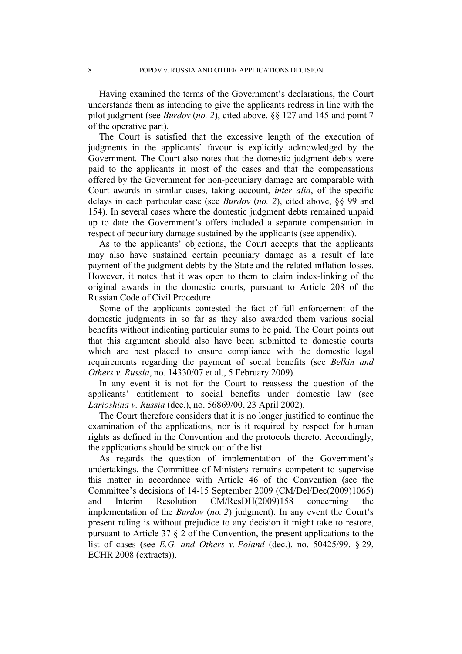Having examined the terms of the Government's declarations, the Court understands them as intending to give the applicants redress in line with the pilot judgment (see *Burdov* (*no. 2*), cited above, §§ 127 and 145 and point 7 of the operative part).

The Court is satisfied that the excessive length of the execution of judgments in the applicants' favour is explicitly acknowledged by the Government. The Court also notes that the domestic judgment debts were paid to the applicants in most of the cases and that the compensations offered by the Government for non-pecuniary damage are comparable with Court awards in similar cases, taking account, *inter alia*, of the specific delays in each particular case (see *Burdov* (*no. 2*), cited above, §§ 99 and 154). In several cases where the domestic judgment debts remained unpaid up to date the Government's offers included a separate compensation in respect of pecuniary damage sustained by the applicants (see appendix).

As to the applicants' objections, the Court accepts that the applicants may also have sustained certain pecuniary damage as a result of late payment of the judgment debts by the State and the related inflation losses. However, it notes that it was open to them to claim index-linking of the original awards in the domestic courts, pursuant to Article 208 of the Russian Code of Civil Procedure.

Some of the applicants contested the fact of full enforcement of the domestic judgments in so far as they also awarded them various social benefits without indicating particular sums to be paid. The Court points out that this argument should also have been submitted to domestic courts which are best placed to ensure compliance with the domestic legal requirements regarding the payment of social benefits (see *Belkin and Others v. Russia*, no. 14330/07 et al., 5 February 2009).

In any event it is not for the Court to reassess the question of the applicants' entitlement to social benefits under domestic law (see *Larioshina v. Russia* (dec.), no. 56869/00, 23 April 2002).

The Court therefore considers that it is no longer justified to continue the examination of the applications, nor is it required by respect for human rights as defined in the Convention and the protocols thereto. Accordingly, the applications should be struck out of the list.

As regards the question of implementation of the Government's undertakings, the Committee of Ministers remains competent to supervise this matter in accordance with Article 46 of the Convention (see the Committee's decisions of 14-15 September 2009 (CM/Del/Dec(2009)1065) and Interim Resolution CM/ResDH(2009)158 concerning the implementation of the *Burdov* (*no. 2*) judgment). In any event the Court's present ruling is without prejudice to any decision it might take to restore, pursuant to Article 37 § 2 of the Convention, the present applications to the list of cases (see *E.G. and Others v. Poland* (dec.), no. 50425/99, § 29, ECHR 2008 (extracts)).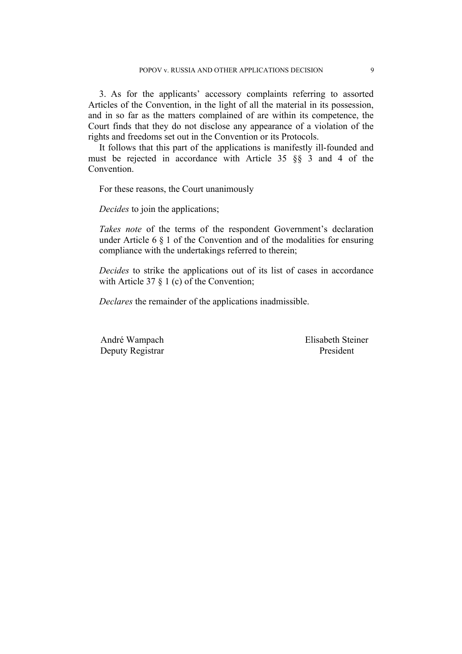3. As for the applicants' accessory complaints referring to assorted Articles of the Convention, in the light of all the material in its possession, and in so far as the matters complained of are within its competence, the Court finds that they do not disclose any appearance of a violation of the rights and freedoms set out in the Convention or its Protocols.

It follows that this part of the applications is manifestly ill-founded and must be rejected in accordance with Article 35 §§ 3 and 4 of the Convention.

For these reasons, the Court unanimously

*Decides* to join the applications;

*Takes note* of the terms of the respondent Government's declaration under Article 6  $\S$  1 of the Convention and of the modalities for ensuring compliance with the undertakings referred to therein;

*Decides* to strike the applications out of its list of cases in accordance with Article 37  $\S$  1 (c) of the Convention;

*Declares* the remainder of the applications inadmissible.

Deputy Registrar President

André Wampach Elisabeth Steiner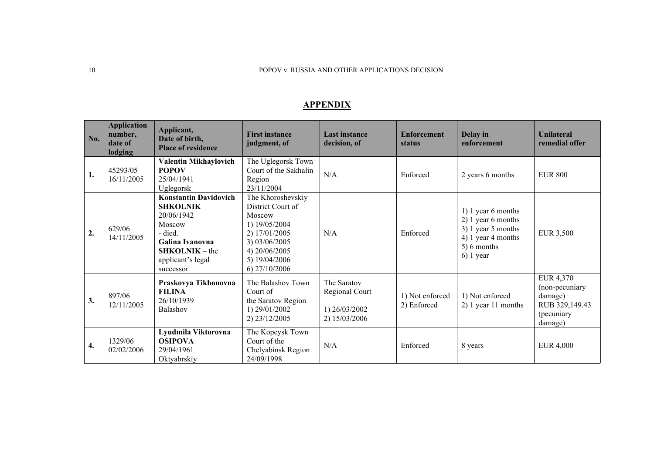#### 10 POPOV v. RUSSIA AND OTHER APPLICATIONS DECISION

## **APPENDIX**

| No.              | <b>Application</b><br>number,<br>date of<br>lodging | Applicant,<br>Date of birth,<br><b>Place of residence</b>                                                                                                   | <b>First instance</b><br>judgment, of                                                                                                                    | <b>Last instance</b><br>decision, of                            | <b>Enforcement</b><br>status   | Delay in<br>enforcement                                                                                            | <b>Unilateral</b><br>remedial offer                                               |
|------------------|-----------------------------------------------------|-------------------------------------------------------------------------------------------------------------------------------------------------------------|----------------------------------------------------------------------------------------------------------------------------------------------------------|-----------------------------------------------------------------|--------------------------------|--------------------------------------------------------------------------------------------------------------------|-----------------------------------------------------------------------------------|
| 1.               | 45293/05<br>16/11/2005                              | Valentin Mikhaylovich<br><b>POPOV</b><br>25/04/1941<br>Uglegorsk                                                                                            | The Uglegorsk Town<br>Court of the Sakhalin<br>Region<br>23/11/2004                                                                                      | N/A                                                             | Enforced                       | 2 years 6 months                                                                                                   | <b>EUR 800</b>                                                                    |
| $\overline{2}$ . | 629/06<br>14/11/2005                                | <b>Konstantin Davidovich</b><br><b>SHKOLNIK</b><br>20/06/1942<br>Moscow<br>- died.<br>Galina Ivanovna<br>$SHKOLNIK - the$<br>applicant's legal<br>successor | The Khoroshevskiy<br>District Court of<br>Moscow<br>1) 19/05/2004<br>2) 17/01/2005<br>3) 03/06/2005<br>4) 20/06/2005<br>5) 19/04/2006<br>$6)$ 27/10/2006 | N/A                                                             | Enforced                       | 1) 1 year 6 months<br>2) 1 year 6 months<br>3) 1 year 5 months<br>4) 1 year 4 months<br>5) 6 months<br>$6)$ 1 year | <b>EUR 3,500</b>                                                                  |
| 3.               | 897/06<br>12/11/2005                                | Praskovya Tikhonovna<br><b>FILINA</b><br>26/10/1939<br>Balashov                                                                                             | The Balashov Town<br>Court of<br>the Saratov Region<br>1) 29/01/2002<br>2) 23/12/2005                                                                    | The Saratov<br>Regional Court<br>1) 26/03/2002<br>2) 15/03/2006 | 1) Not enforced<br>2) Enforced | 1) Not enforced<br>2) 1 year 11 months                                                                             | EUR 4,370<br>(non-pecuniary<br>damage)<br>RUB 329,149.43<br>(pecuniary<br>damage) |
| 4.               | 1329/06<br>02/02/2006                               | Lyudmila Viktorovna<br><b>OSIPOVA</b><br>29/04/1961<br>Oktyabrskiy                                                                                          | The Kopeysk Town<br>Court of the<br>Chelyabinsk Region<br>24/09/1998                                                                                     | N/A                                                             | Enforced                       | 8 years                                                                                                            | EUR 4,000                                                                         |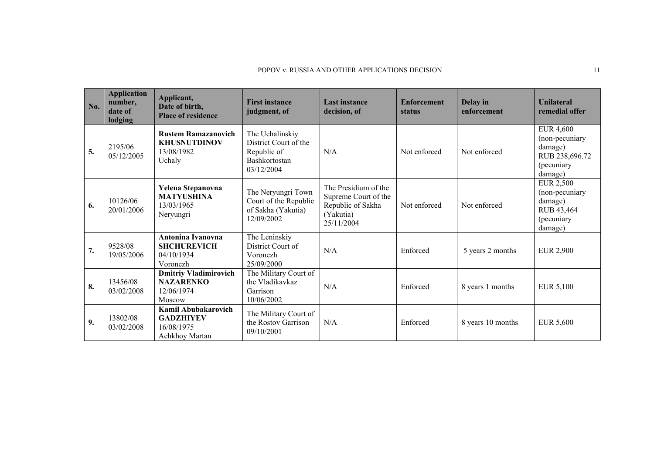#### POPOV v. RUSSIA AND OTHER APPLICATIONS DECISION 11

| No. | <b>Application</b><br>number,<br>date of<br>lodging | Applicant,<br>Date of birth,<br><b>Place of residence</b>                 | <b>First instance</b><br>judgment, of                                                  | <b>Last instance</b><br>decision, of                                                         | <b>Enforcement</b><br><b>status</b> | Delay in<br>enforcement | <b>Unilateral</b><br>remedial offer                                                      |
|-----|-----------------------------------------------------|---------------------------------------------------------------------------|----------------------------------------------------------------------------------------|----------------------------------------------------------------------------------------------|-------------------------------------|-------------------------|------------------------------------------------------------------------------------------|
| 5.  | 2195/06<br>05/12/2005                               | <b>Rustem Ramazanovich</b><br><b>KHUSNUTDINOV</b><br>13/08/1982<br>Uchaly | The Uchalinskiy<br>District Court of the<br>Republic of<br>Bashkortostan<br>03/12/2004 | N/A                                                                                          | Not enforced                        | Not enforced            | <b>EUR 4,600</b><br>(non-pecuniary<br>damage)<br>RUB 238,696.72<br>(pecuniary<br>damage) |
| 6.  | 10126/06<br>20/01/2006                              | Yelena Stepanovna<br><b>MATYUSHINA</b><br>13/03/1965<br>Neryungri         | The Neryungri Town<br>Court of the Republic<br>of Sakha (Yakutia)<br>12/09/2002        | The Presidium of the<br>Supreme Court of the<br>Republic of Sakha<br>(Yakutia)<br>25/11/2004 | Not enforced                        | Not enforced            | <b>EUR 2,500</b><br>(non-pecuniary<br>damage)<br>RUB 43,464<br>(pecuniary<br>damage)     |
| 7.  | 9528/08<br>19/05/2006                               | Antonina Ivanovna<br><b>SHCHUREVICH</b><br>04/10/1934<br>Voronezh         | The Leninskiy<br>District Court of<br>Voronezh<br>25/09/2000                           | N/A                                                                                          | Enforced                            | 5 years 2 months        | <b>EUR 2,900</b>                                                                         |
| 8.  | 13456/08<br>03/02/2008                              | <b>Dmitriy Vladimirovich</b><br><b>NAZARENKO</b><br>12/06/1974<br>Moscow  | The Military Court of<br>the Vladikavkaz<br>Garrison<br>10/06/2002                     | N/A                                                                                          | Enforced                            | 8 years 1 months        | EUR 5,100                                                                                |
| 9.  | 13802/08<br>03/02/2008                              | Kamil Abubakarovich<br><b>GADZHIYEV</b><br>16/08/1975<br>Achkhoy Martan   | The Military Court of<br>the Rostov Garrison<br>09/10/2001                             | N/A                                                                                          | Enforced                            | 8 years 10 months       | EUR 5,600                                                                                |